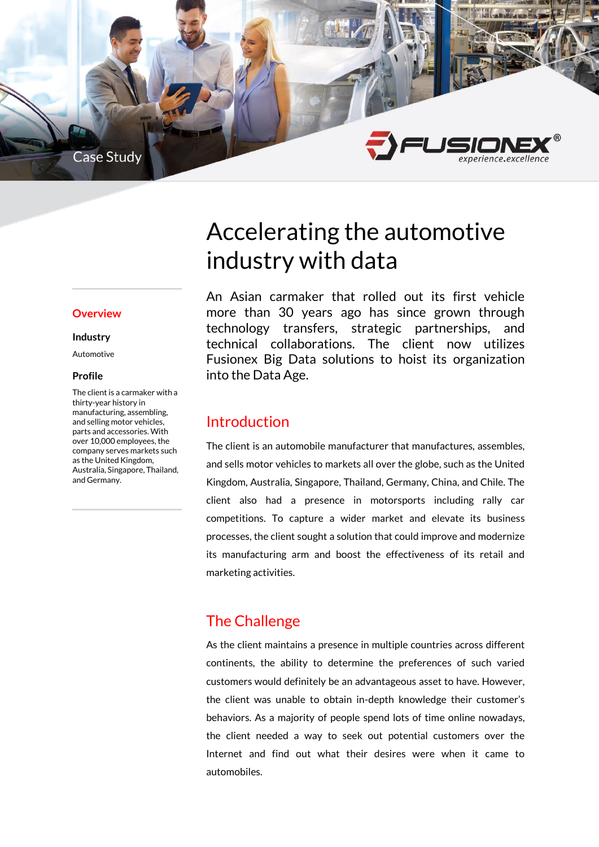

#### **Overview**

#### **Industry**

Automotive

#### **Profile**

The client is a carmaker with a thirty-year history in manufacturing, assembling, and selling motor vehicles, parts and accessories. With over 10,000 employees, the company serves markets such as the United Kingdom, Australia, Singapore, Thailand, and Germany.

# Accelerating the automotive industry with data

An Asian carmaker that rolled out its first vehicle more than 30 years ago has since grown through technology transfers, strategic partnerships, and technical collaborations. The client now utilizes Fusionex Big Data solutions to hoist its organization into the Data Age.

## Introduction

The client is an automobile manufacturer that manufactures, assembles, and sells motor vehicles to markets all over the globe, such as the United Kingdom, Australia, Singapore, Thailand, Germany, China, and Chile. The client also had a presence in motorsports including rally car competitions. To capture a wider market and elevate its business processes, the client sought a solution that could improve and modernize its manufacturing arm and boost the effectiveness of its retail and marketing activities.

## The Challenge

As the client maintains a presence in multiple countries across different continents, the ability to determine the preferences of such varied customers would definitely be an advantageous asset to have. However, the client was unable to obtain in-depth knowledge their customer's behaviors. As a majority of people spend lots of time online nowadays, the client needed a way to seek out potential customers over the Internet and find out what their desires were when it came to automobiles.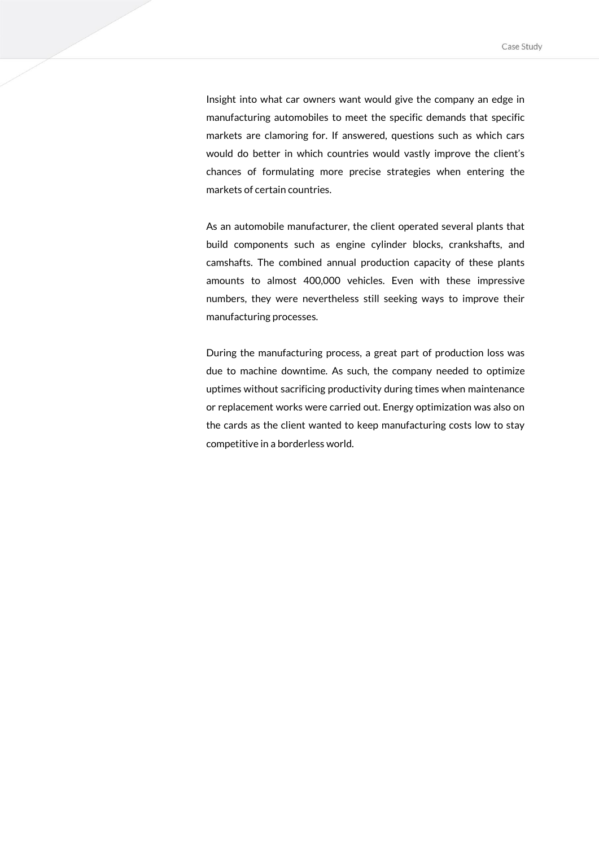Insight into what car owners want would give the company an edge in manufacturing automobiles to meet the specific demands that specific markets are clamoring for. If answered, questions such as which cars would do better in which countries would vastly improve the client's chances of formulating more precise strategies when entering the markets of certain countries.

As an automobile manufacturer, the client operated several plants that build components such as engine cylinder blocks, crankshafts, and camshafts. The combined annual production capacity of these plants amounts to almost 400,000 vehicles. Even with these impressive numbers, they were nevertheless still seeking ways to improve their manufacturing processes.

During the manufacturing process, a great part of production loss was due to machine downtime. As such, the company needed to optimize uptimes without sacrificing productivity during times when maintenance or replacement works were carried out. Energy optimization was also on the cards as the client wanted to keep manufacturing costs low to stay competitive in a borderless world.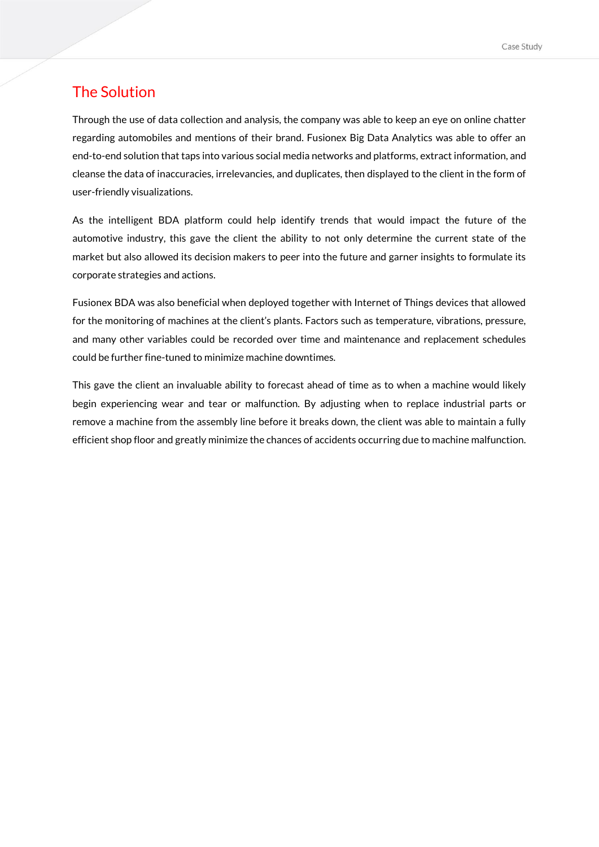### The Solution

Through the use of data collection and analysis, the company was able to keep an eye on online chatter regarding automobiles and mentions of their brand. Fusionex Big Data Analytics was able to offer an end-to-end solution that taps into various social media networks and platforms, extract information, and cleanse the data of inaccuracies, irrelevancies, and duplicates, then displayed to the client in the form of user-friendly visualizations.

As the intelligent BDA platform could help identify trends that would impact the future of the automotive industry, this gave the client the ability to not only determine the current state of the market but also allowed its decision makers to peer into the future and garner insights to formulate its corporate strategies and actions.

Fusionex BDA was also beneficial when deployed together with Internet of Things devices that allowed for the monitoring of machines at the client's plants. Factors such as temperature, vibrations, pressure, and many other variables could be recorded over time and maintenance and replacement schedules could be further fine-tuned to minimize machine downtimes.

This gave the client an invaluable ability to forecast ahead of time as to when a machine would likely begin experiencing wear and tear or malfunction. By adjusting when to replace industrial parts or remove a machine from the assembly line before it breaks down, the client was able to maintain a fully efficient shop floor and greatly minimize the chances of accidents occurring due to machine malfunction.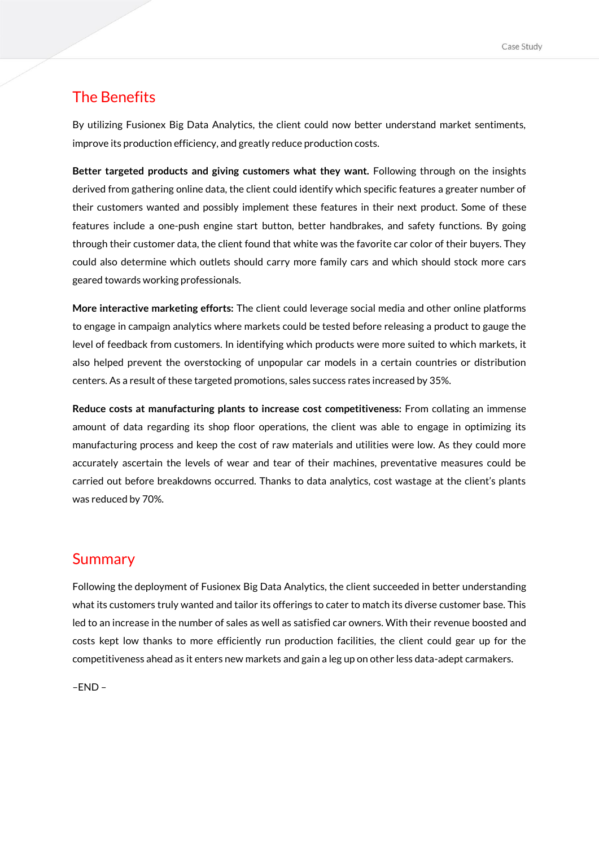### The Benefits

By utilizing Fusionex Big Data Analytics, the client could now better understand market sentiments, improve its production efficiency, and greatly reduce production costs.

**Better targeted products and giving customers what they want.** Following through on the insights derived from gathering online data, the client could identify which specific features a greater number of their customers wanted and possibly implement these features in their next product. Some of these features include a one-push engine start button, better handbrakes, and safety functions. By going through their customer data, the client found that white was the favorite car color of their buyers. They could also determine which outlets should carry more family cars and which should stock more cars geared towards working professionals.

**More interactive marketing efforts:** The client could leverage social media and other online platforms to engage in campaign analytics where markets could be tested before releasing a product to gauge the level of feedback from customers. In identifying which products were more suited to which markets, it also helped prevent the overstocking of unpopular car models in a certain countries or distribution centers. As a result of these targeted promotions, sales success rates increased by 35%.

**Reduce costs at manufacturing plants to increase cost competitiveness:** From collating an immense amount of data regarding its shop floor operations, the client was able to engage in optimizing its manufacturing process and keep the cost of raw materials and utilities were low. As they could more accurately ascertain the levels of wear and tear of their machines, preventative measures could be carried out before breakdowns occurred. Thanks to data analytics, cost wastage at the client's plants was reduced by 70%.

#### Summary

Following the deployment of Fusionex Big Data Analytics, the client succeeded in better understanding what its customers truly wanted and tailor its offerings to cater to match its diverse customer base. This led to an increase in the number of sales as well as satisfied car owners. With their revenue boosted and costs kept low thanks to more efficiently run production facilities, the client could gear up for the competitiveness ahead as it enters new markets and gain a leg up on other less data-adept carmakers.

–END –